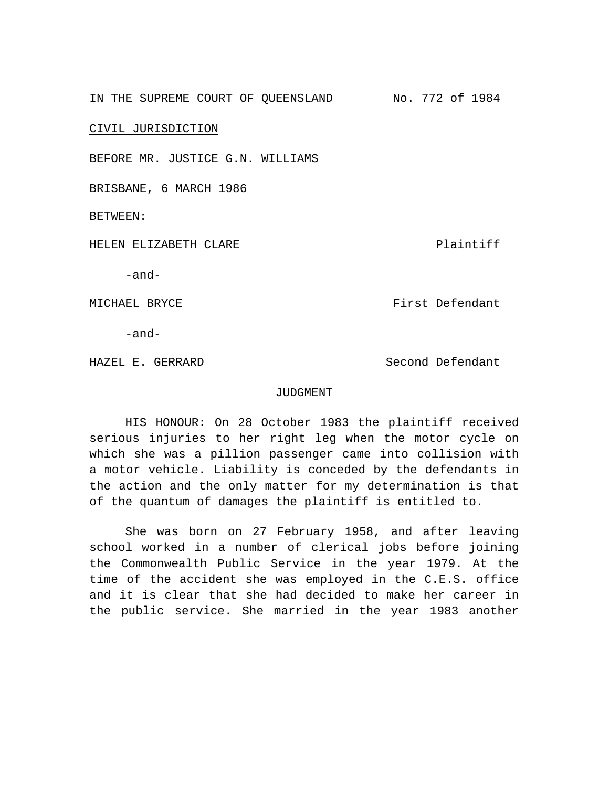IN THE SUPREME COURT OF QUEENSLAND No. 772 of 1984

CIVIL JURISDICTION

BEFORE MR. JUSTICE G.N. WILLIAMS

BRISBANE, 6 MARCH 1986

BETWEEN:

HELEN ELIZABETH CLARE Plaintiff

-and-

MICHAEL BRYCE FIRST DEFENDANT MICHAEL BRYCE

-and-

HAZEL E. GERRARD Second Defendant

## JUDGMENT

HIS HONOUR: On 28 October 1983 the plaintiff received serious injuries to her right leg when the motor cycle on which she was a pillion passenger came into collision with a motor vehicle. Liability is conceded by the defendants in the action and the only matter for my determination is that of the quantum of damages the plaintiff is entitled to.

She was born on 27 February 1958, and after leaving school worked in a number of clerical jobs before joining the Commonwealth Public Service in the year 1979. At the time of the accident she was employed in the C.E.S. office and it is clear that she had decided to make her career in the public service. She married in the year 1983 another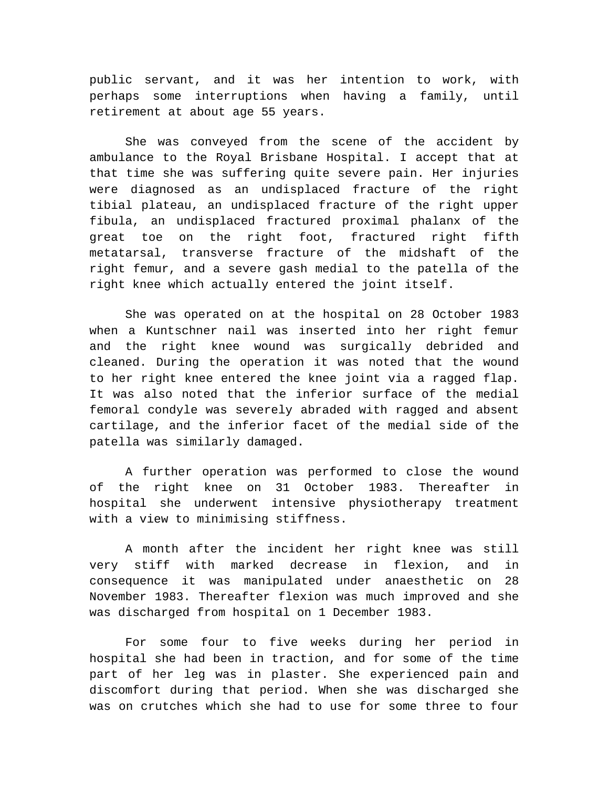public servant, and it was her intention to work, with perhaps some interruptions when having a family, until retirement at about age 55 years.

She was conveyed from the scene of the accident by ambulance to the Royal Brisbane Hospital. I accept that at that time she was suffering quite severe pain. Her injuries were diagnosed as an undisplaced fracture of the right tibial plateau, an undisplaced fracture of the right upper fibula, an undisplaced fractured proximal phalanx of the great toe on the right foot, fractured right fifth metatarsal, transverse fracture of the midshaft of the right femur, and a severe gash medial to the patella of the right knee which actually entered the joint itself.

She was operated on at the hospital on 28 October 1983 when a Kuntschner nail was inserted into her right femur and the right knee wound was surgically debrided and cleaned. During the operation it was noted that the wound to her right knee entered the knee joint via a ragged flap. It was also noted that the inferior surface of the medial femoral condyle was severely abraded with ragged and absent cartilage, and the inferior facet of the medial side of the patella was similarly damaged.

A further operation was performed to close the wound of the right knee on 31 October 1983. Thereafter in hospital she underwent intensive physiotherapy treatment with a view to minimising stiffness.

A month after the incident her right knee was still very stiff with marked decrease in flexion, and in consequence it was manipulated under anaesthetic on 28 November 1983. Thereafter flexion was much improved and she was discharged from hospital on 1 December 1983.

For some four to five weeks during her period in hospital she had been in traction, and for some of the time part of her leg was in plaster. She experienced pain and discomfort during that period. When she was discharged she was on crutches which she had to use for some three to four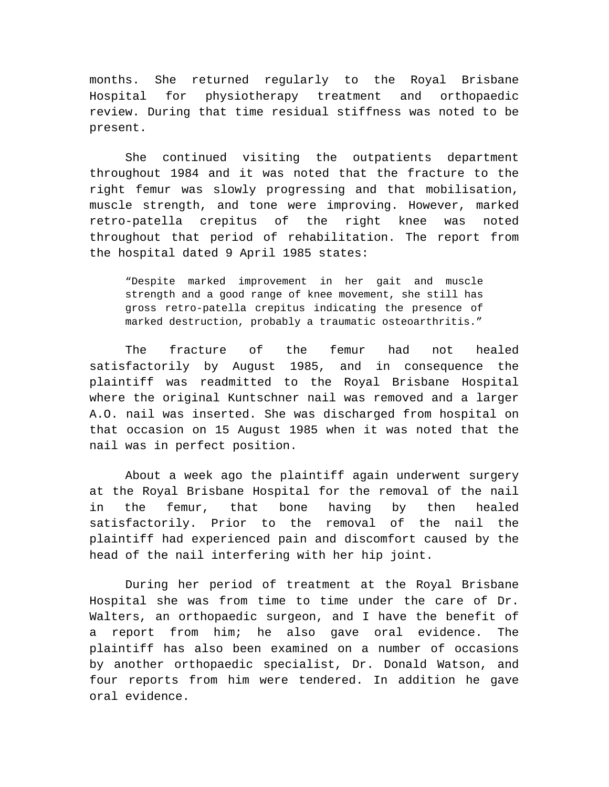months. She returned regularly to the Royal Brisbane Hospital for physiotherapy treatment and orthopaedic review. During that time residual stiffness was noted to be present.

She continued visiting the outpatients department throughout 1984 and it was noted that the fracture to the right femur was slowly progressing and that mobilisation, muscle strength, and tone were improving. However, marked retro-patella crepitus of the right knee was noted throughout that period of rehabilitation. The report from the hospital dated 9 April 1985 states:

"Despite marked improvement in her gait and muscle strength and a good range of knee movement, she still has gross retro-patella crepitus indicating the presence of marked destruction, probably a traumatic osteoarthritis."

The fracture of the femur had not healed satisfactorily by August 1985, and in consequence the plaintiff was readmitted to the Royal Brisbane Hospital where the original Kuntschner nail was removed and a larger A.O. nail was inserted. She was discharged from hospital on that occasion on 15 August 1985 when it was noted that the nail was in perfect position.

About a week ago the plaintiff again underwent surgery at the Royal Brisbane Hospital for the removal of the nail in the femur, that bone having by then healed satisfactorily. Prior to the removal of the nail the plaintiff had experienced pain and discomfort caused by the head of the nail interfering with her hip joint.

During her period of treatment at the Royal Brisbane Hospital she was from time to time under the care of Dr. Walters, an orthopaedic surgeon, and I have the benefit of a report from him; he also gave oral evidence. The plaintiff has also been examined on a number of occasions by another orthopaedic specialist, Dr. Donald Watson, and four reports from him were tendered. In addition he gave oral evidence.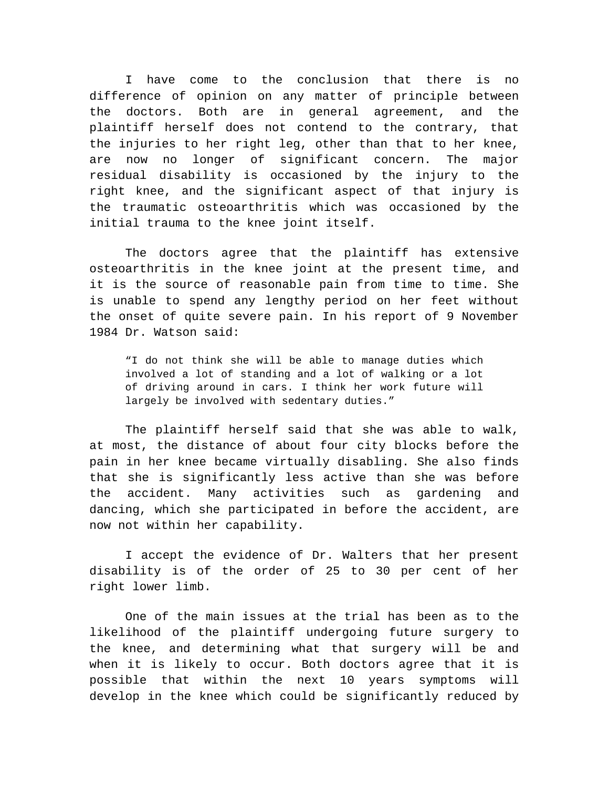I have come to the conclusion that there is no difference of opinion on any matter of principle between the doctors. Both are in general agreement, and the plaintiff herself does not contend to the contrary, that the injuries to her right leg, other than that to her knee, are now no longer of significant concern. The major residual disability is occasioned by the injury to the right knee, and the significant aspect of that injury is the traumatic osteoarthritis which was occasioned by the initial trauma to the knee joint itself.

The doctors agree that the plaintiff has extensive osteoarthritis in the knee joint at the present time, and it is the source of reasonable pain from time to time. She is unable to spend any lengthy period on her feet without the onset of quite severe pain. In his report of 9 November 1984 Dr. Watson said:

"I do not think she will be able to manage duties which involved a lot of standing and a lot of walking or a lot of driving around in cars. I think her work future will largely be involved with sedentary duties."

The plaintiff herself said that she was able to walk, at most, the distance of about four city blocks before the pain in her knee became virtually disabling. She also finds that she is significantly less active than she was before the accident. Many activities such as gardening and dancing, which she participated in before the accident, are now not within her capability.

I accept the evidence of Dr. Walters that her present disability is of the order of 25 to 30 per cent of her right lower limb.

One of the main issues at the trial has been as to the likelihood of the plaintiff undergoing future surgery to the knee, and determining what that surgery will be and when it is likely to occur. Both doctors agree that it is possible that within the next 10 years symptoms will develop in the knee which could be significantly reduced by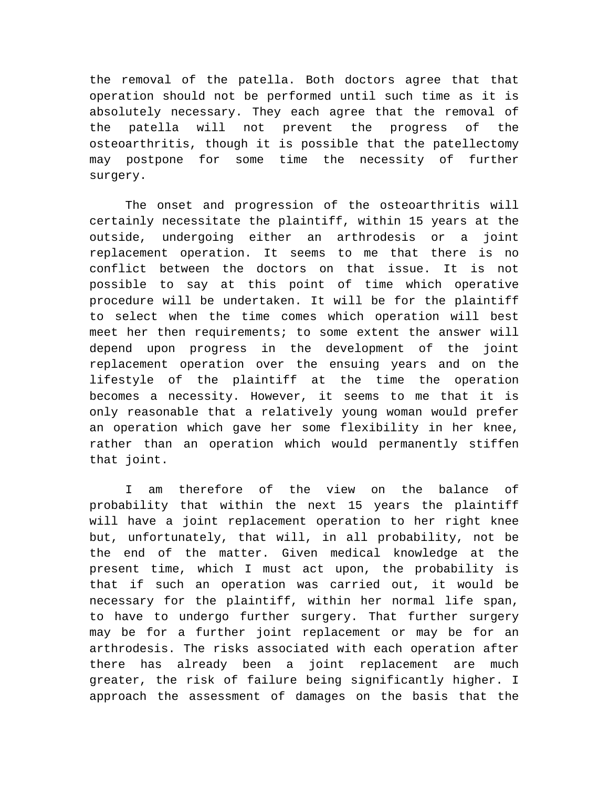the removal of the patella. Both doctors agree that that operation should not be performed until such time as it is absolutely necessary. They each agree that the removal of the patella will not prevent the progress of the osteoarthritis, though it is possible that the patellectomy may postpone for some time the necessity of further surgery.

The onset and progression of the osteoarthritis will certainly necessitate the plaintiff, within 15 years at the outside, undergoing either an arthrodesis or a joint replacement operation. It seems to me that there is no conflict between the doctors on that issue. It is not possible to say at this point of time which operative procedure will be undertaken. It will be for the plaintiff to select when the time comes which operation will best meet her then requirements; to some extent the answer will depend upon progress in the development of the joint replacement operation over the ensuing years and on the lifestyle of the plaintiff at the time the operation becomes a necessity. However, it seems to me that it is only reasonable that a relatively young woman would prefer an operation which gave her some flexibility in her knee, rather than an operation which would permanently stiffen that joint.

I am therefore of the view on the balance of probability that within the next 15 years the plaintiff will have a joint replacement operation to her right knee but, unfortunately, that will, in all probability, not be the end of the matter. Given medical knowledge at the present time, which I must act upon, the probability is that if such an operation was carried out, it would be necessary for the plaintiff, within her normal life span, to have to undergo further surgery. That further surgery may be for a further joint replacement or may be for an arthrodesis. The risks associated with each operation after there has already been a joint replacement are much greater, the risk of failure being significantly higher. I approach the assessment of damages on the basis that the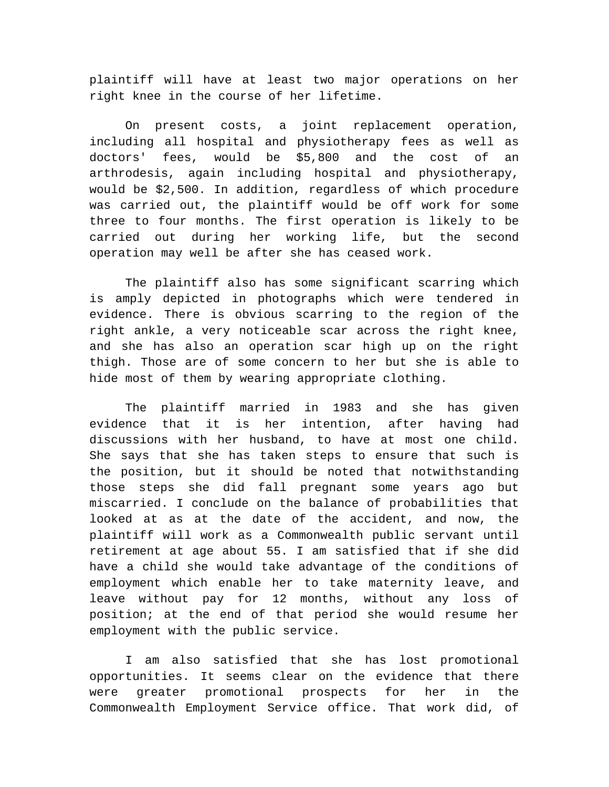plaintiff will have at least two major operations on her right knee in the course of her lifetime.

On present costs, a joint replacement operation, including all hospital and physiotherapy fees as well as doctors' fees, would be \$5,800 and the cost of an arthrodesis, again including hospital and physiotherapy, would be \$2,500. In addition, regardless of which procedure was carried out, the plaintiff would be off work for some three to four months. The first operation is likely to be carried out during her working life, but the second operation may well be after she has ceased work.

The plaintiff also has some significant scarring which is amply depicted in photographs which were tendered in evidence. There is obvious scarring to the region of the right ankle, a very noticeable scar across the right knee, and she has also an operation scar high up on the right thigh. Those are of some concern to her but she is able to hide most of them by wearing appropriate clothing.

The plaintiff married in 1983 and she has given evidence that it is her intention, after having had discussions with her husband, to have at most one child. She says that she has taken steps to ensure that such is the position, but it should be noted that notwithstanding those steps she did fall pregnant some years ago but miscarried. I conclude on the balance of probabilities that looked at as at the date of the accident, and now, the plaintiff will work as a Commonwealth public servant until retirement at age about 55. I am satisfied that if she did have a child she would take advantage of the conditions of employment which enable her to take maternity leave, and leave without pay for 12 months, without any loss of position; at the end of that period she would resume her employment with the public service.

I am also satisfied that she has lost promotional opportunities. It seems clear on the evidence that there were greater promotional prospects for her in the Commonwealth Employment Service office. That work did, of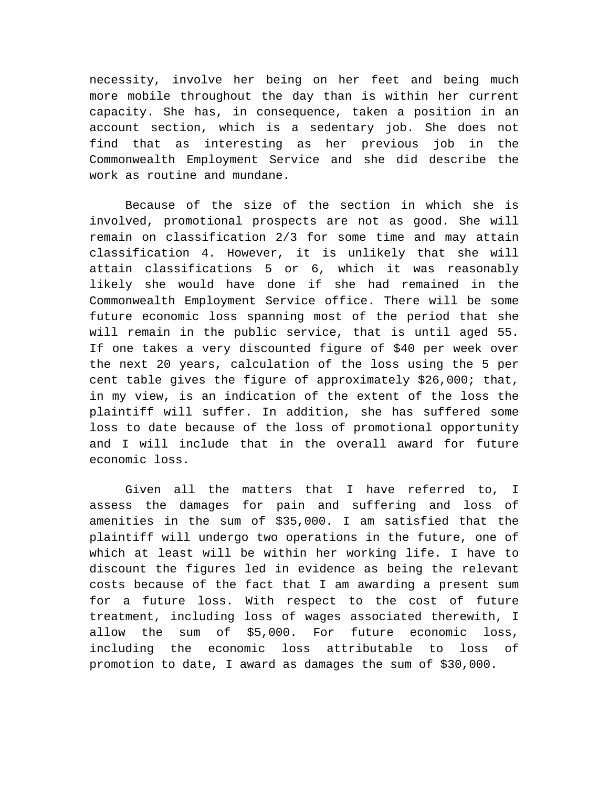necessity, involve her being on her feet and being much more mobile throughout the day than is within her current capacity. She has, in consequence, taken a position in an account section, which is a sedentary job. She does not find that as interesting as her previous job in the Commonwealth Employment Service and she did describe the work as routine and mundane.

Because of the size of the section in which she is involved, promotional prospects are not as good. She will remain on classification 2/3 for some time and may attain classification 4. However, it is unlikely that she will attain classifications 5 or 6, which it was reasonably likely she would have done if she had remained in the Commonwealth Employment Service office. There will be some future economic loss spanning most of the period that she will remain in the public service, that is until aged 55. If one takes a very discounted figure of \$40 per week over the next 20 years, calculation of the loss using the 5 per cent table gives the figure of approximately \$26,000; that, in my view, is an indication of the extent of the loss the plaintiff will suffer. In addition, she has suffered some loss to date because of the loss of promotional opportunity and I will include that in the overall award for future economic loss.

Given all the matters that I have referred to, I assess the damages for pain and suffering and loss of amenities in the sum of \$35,000. I am satisfied that the plaintiff will undergo two operations in the future, one of which at least will be within her working life. I have to discount the figures led in evidence as being the relevant costs because of the fact that I am awarding a present sum for a future loss. With respect to the cost of future treatment, including loss of wages associated therewith, I allow the sum of \$5,000. For future economic loss, including the economic loss attributable to loss of promotion to date, I award as damages the sum of \$30,000.